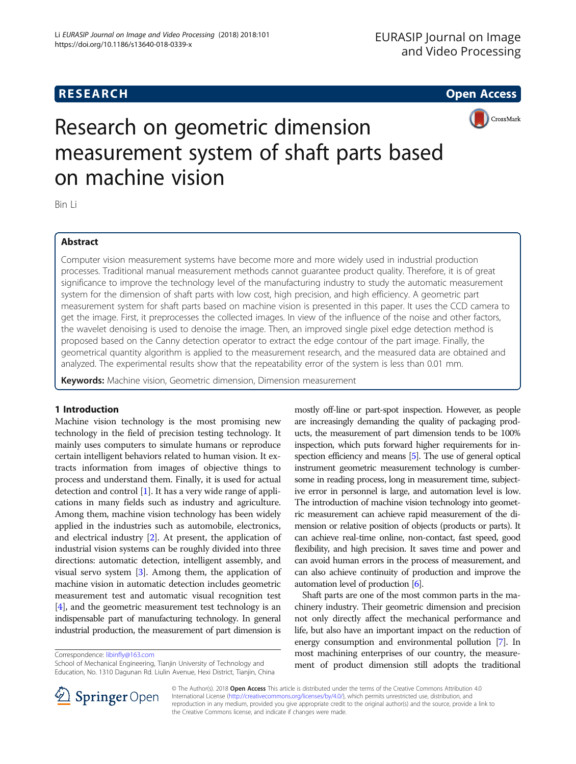# **RESEARCH CHE Open Access**



Research on geometric dimension measurement system of shaft parts based on machine vision

Bin Li

# Abstract

Computer vision measurement systems have become more and more widely used in industrial production processes. Traditional manual measurement methods cannot guarantee product quality. Therefore, it is of great significance to improve the technology level of the manufacturing industry to study the automatic measurement system for the dimension of shaft parts with low cost, high precision, and high efficiency. A geometric part measurement system for shaft parts based on machine vision is presented in this paper. It uses the CCD camera to get the image. First, it preprocesses the collected images. In view of the influence of the noise and other factors, the wavelet denoising is used to denoise the image. Then, an improved single pixel edge detection method is proposed based on the Canny detection operator to extract the edge contour of the part image. Finally, the geometrical quantity algorithm is applied to the measurement research, and the measured data are obtained and analyzed. The experimental results show that the repeatability error of the system is less than 0.01 mm.

Keywords: Machine vision, Geometric dimension, Dimension measurement

# 1 Introduction

Machine vision technology is the most promising new technology in the field of precision testing technology. It mainly uses computers to simulate humans or reproduce certain intelligent behaviors related to human vision. It extracts information from images of objective things to process and understand them. Finally, it is used for actual detection and control [\[1\]](#page-7-0). It has a very wide range of applications in many fields such as industry and agriculture. Among them, machine vision technology has been widely applied in the industries such as automobile, electronics, and electrical industry [[2\]](#page-7-0). At present, the application of industrial vision systems can be roughly divided into three directions: automatic detection, intelligent assembly, and visual servo system [\[3\]](#page-7-0). Among them, the application of machine vision in automatic detection includes geometric measurement test and automatic visual recognition test [[4\]](#page-7-0), and the geometric measurement test technology is an indispensable part of manufacturing technology. In general industrial production, the measurement of part dimension is

Correspondence: [libinfly@163.com](mailto:libinfly@163.com)

School of Mechanical Engineering, Tianjin University of Technology and Education, No. 1310 Dagunan Rd. Liulin Avenue, Hexi District, Tianjin, China mostly off-line or part-spot inspection. However, as people are increasingly demanding the quality of packaging products, the measurement of part dimension tends to be 100% inspection, which puts forward higher requirements for in-spection efficiency and means [[5](#page-7-0)]. The use of general optical instrument geometric measurement technology is cumbersome in reading process, long in measurement time, subjective error in personnel is large, and automation level is low. The introduction of machine vision technology into geometric measurement can achieve rapid measurement of the dimension or relative position of objects (products or parts). It can achieve real-time online, non-contact, fast speed, good flexibility, and high precision. It saves time and power and can avoid human errors in the process of measurement, and can also achieve continuity of production and improve the automation level of production [[6](#page-7-0)].

Shaft parts are one of the most common parts in the machinery industry. Their geometric dimension and precision not only directly affect the mechanical performance and life, but also have an important impact on the reduction of energy consumption and environmental pollution [[7](#page-7-0)]. In most machining enterprises of our country, the measurement of product dimension still adopts the traditional



© The Author(s). 2018 Open Access This article is distributed under the terms of the Creative Commons Attribution 4.0 International License ([http://creativecommons.org/licenses/by/4.0/\)](http://creativecommons.org/licenses/by/4.0/), which permits unrestricted use, distribution, and reproduction in any medium, provided you give appropriate credit to the original author(s) and the source, provide a link to the Creative Commons license, and indicate if changes were made.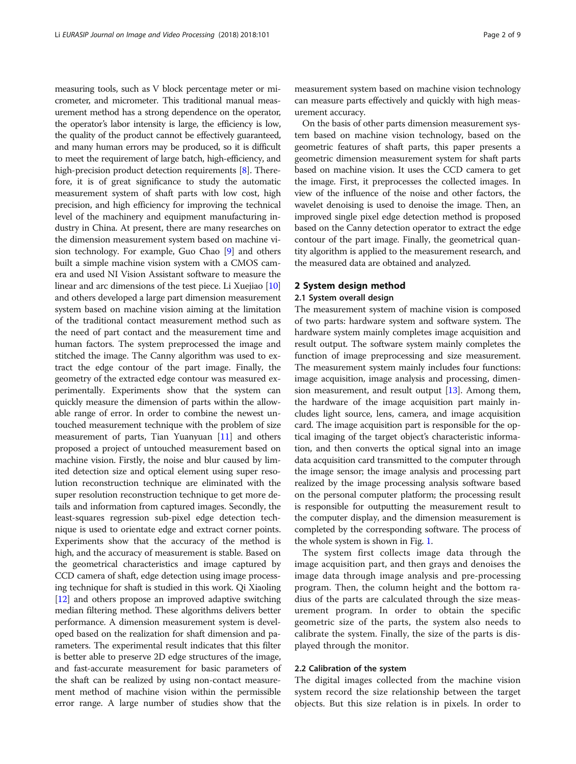measuring tools, such as V block percentage meter or micrometer, and micrometer. This traditional manual measurement method has a strong dependence on the operator, the operator's labor intensity is large, the efficiency is low, the quality of the product cannot be effectively guaranteed, and many human errors may be produced, so it is difficult to meet the requirement of large batch, high-efficiency, and high-precision product detection requirements [\[8](#page-8-0)]. Therefore, it is of great significance to study the automatic measurement system of shaft parts with low cost, high precision, and high efficiency for improving the technical level of the machinery and equipment manufacturing industry in China. At present, there are many researches on the dimension measurement system based on machine vision technology. For example, Guo Chao [[9](#page-8-0)] and others built a simple machine vision system with a CMOS camera and used NI Vision Assistant software to measure the linear and arc dimensions of the test piece. Li Xuejiao [[10](#page-8-0)] and others developed a large part dimension measurement system based on machine vision aiming at the limitation of the traditional contact measurement method such as the need of part contact and the measurement time and human factors. The system preprocessed the image and stitched the image. The Canny algorithm was used to extract the edge contour of the part image. Finally, the geometry of the extracted edge contour was measured experimentally. Experiments show that the system can quickly measure the dimension of parts within the allowable range of error. In order to combine the newest untouched measurement technique with the problem of size measurement of parts, Tian Yuanyuan [[11](#page-8-0)] and others proposed a project of untouched measurement based on machine vision. Firstly, the noise and blur caused by limited detection size and optical element using super resolution reconstruction technique are eliminated with the super resolution reconstruction technique to get more details and information from captured images. Secondly, the least-squares regression sub-pixel edge detection technique is used to orientate edge and extract corner points. Experiments show that the accuracy of the method is high, and the accuracy of measurement is stable. Based on the geometrical characteristics and image captured by CCD camera of shaft, edge detection using image processing technique for shaft is studied in this work. Qi Xiaoling [[12](#page-8-0)] and others propose an improved adaptive switching median filtering method. These algorithms delivers better performance. A dimension measurement system is developed based on the realization for shaft dimension and parameters. The experimental result indicates that this filter is better able to preserve 2D edge structures of the image, and fast-accurate measurement for basic parameters of the shaft can be realized by using non-contact measurement method of machine vision within the permissible error range. A large number of studies show that the measurement system based on machine vision technology can measure parts effectively and quickly with high measurement accuracy.

On the basis of other parts dimension measurement system based on machine vision technology, based on the geometric features of shaft parts, this paper presents a geometric dimension measurement system for shaft parts based on machine vision. It uses the CCD camera to get the image. First, it preprocesses the collected images. In view of the influence of the noise and other factors, the wavelet denoising is used to denoise the image. Then, an improved single pixel edge detection method is proposed based on the Canny detection operator to extract the edge contour of the part image. Finally, the geometrical quantity algorithm is applied to the measurement research, and the measured data are obtained and analyzed.

# 2 System design method

# 2.1 System overall design

The measurement system of machine vision is composed of two parts: hardware system and software system. The hardware system mainly completes image acquisition and result output. The software system mainly completes the function of image preprocessing and size measurement. The measurement system mainly includes four functions: image acquisition, image analysis and processing, dimension measurement, and result output [[13](#page-8-0)]. Among them, the hardware of the image acquisition part mainly includes light source, lens, camera, and image acquisition card. The image acquisition part is responsible for the optical imaging of the target object's characteristic information, and then converts the optical signal into an image data acquisition card transmitted to the computer through the image sensor; the image analysis and processing part realized by the image processing analysis software based on the personal computer platform; the processing result is responsible for outputting the measurement result to the computer display, and the dimension measurement is completed by the corresponding software. The process of the whole system is shown in Fig. [1.](#page-2-0)

The system first collects image data through the image acquisition part, and then grays and denoises the image data through image analysis and pre-processing program. Then, the column height and the bottom radius of the parts are calculated through the size measurement program. In order to obtain the specific geometric size of the parts, the system also needs to calibrate the system. Finally, the size of the parts is displayed through the monitor.

# 2.2 Calibration of the system

The digital images collected from the machine vision system record the size relationship between the target objects. But this size relation is in pixels. In order to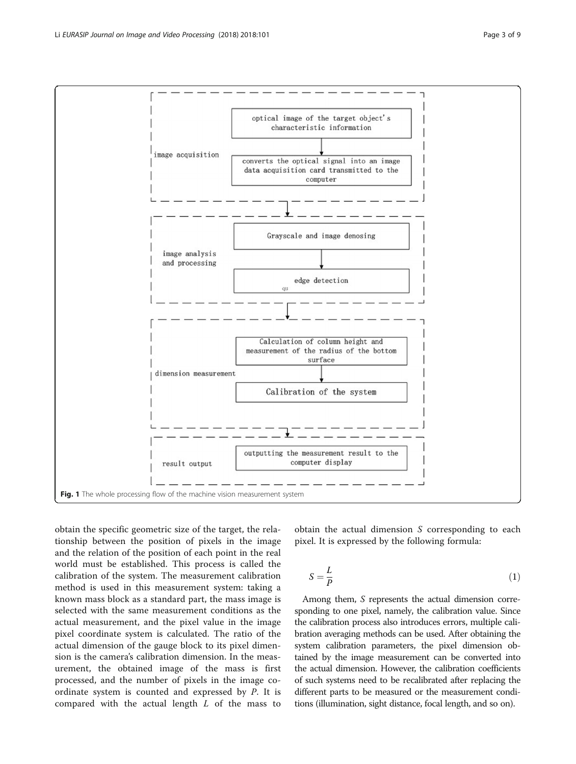obtain the specific geometric size of the target, the relationship between the position of pixels in the image and the relation of the position of each point in the real world must be established. This process is called the calibration of the system. The measurement calibration method is used in this measurement system: taking a known mass block as a standard part, the mass image is selected with the same measurement conditions as the actual measurement, and the pixel value in the image pixel coordinate system is calculated. The ratio of the actual dimension of the gauge block to its pixel dimension is the camera's calibration dimension. In the measurement, the obtained image of the mass is first processed, and the number of pixels in the image coordinate system is counted and expressed by P. It is compared with the actual length  $L$  of the mass to obtain the actual dimension S corresponding to each pixel. It is expressed by the following formula:

$$
S = \frac{L}{P} \tag{1}
$$

Among them, S represents the actual dimension corresponding to one pixel, namely, the calibration value. Since the calibration process also introduces errors, multiple calibration averaging methods can be used. After obtaining the system calibration parameters, the pixel dimension obtained by the image measurement can be converted into the actual dimension. However, the calibration coefficients of such systems need to be recalibrated after replacing the different parts to be measured or the measurement conditions (illumination, sight distance, focal length, and so on).

<span id="page-2-0"></span>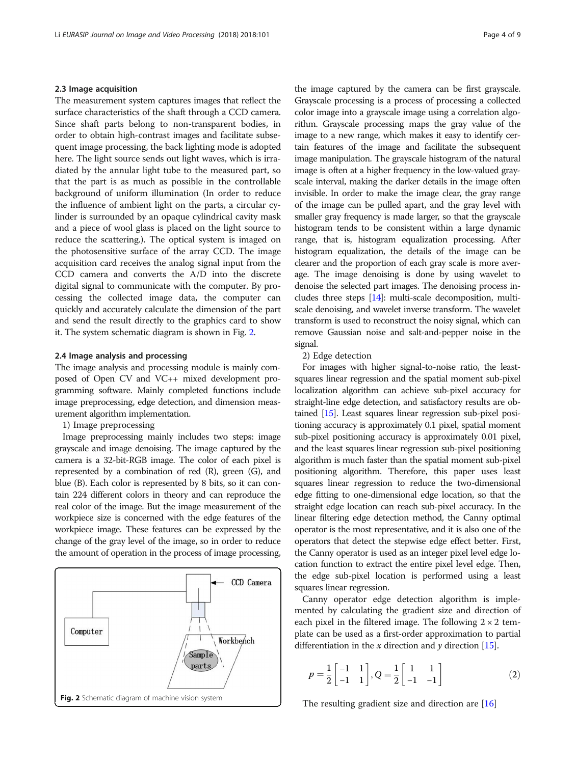# 2.3 Image acquisition

The measurement system captures images that reflect the surface characteristics of the shaft through a CCD camera. Since shaft parts belong to non-transparent bodies, in order to obtain high-contrast images and facilitate subsequent image processing, the back lighting mode is adopted here. The light source sends out light waves, which is irradiated by the annular light tube to the measured part, so that the part is as much as possible in the controllable background of uniform illumination (In order to reduce the influence of ambient light on the parts, a circular cylinder is surrounded by an opaque cylindrical cavity mask and a piece of wool glass is placed on the light source to reduce the scattering.). The optical system is imaged on the photosensitive surface of the array CCD. The image acquisition card receives the analog signal input from the CCD camera and converts the A/D into the discrete digital signal to communicate with the computer. By processing the collected image data, the computer can quickly and accurately calculate the dimension of the part and send the result directly to the graphics card to show it. The system schematic diagram is shown in Fig. 2.

### 2.4 Image analysis and processing

The image analysis and processing module is mainly composed of Open CV and VC++ mixed development programming software. Mainly completed functions include image preprocessing, edge detection, and dimension measurement algorithm implementation.

1) Image preprocessing

Image preprocessing mainly includes two steps: image grayscale and image denoising. The image captured by the camera is a 32-bit-RGB image. The color of each pixel is represented by a combination of red  $(R)$ , green  $(G)$ , and blue (B). Each color is represented by 8 bits, so it can contain 224 different colors in theory and can reproduce the real color of the image. But the image measurement of the workpiece size is concerned with the edge features of the workpiece image. These features can be expressed by the change of the gray level of the image, so in order to reduce the amount of operation in the process of image processing,



the image captured by the camera can be first grayscale. Grayscale processing is a process of processing a collected color image into a grayscale image using a correlation algorithm. Grayscale processing maps the gray value of the image to a new range, which makes it easy to identify certain features of the image and facilitate the subsequent image manipulation. The grayscale histogram of the natural image is often at a higher frequency in the low-valued grayscale interval, making the darker details in the image often invisible. In order to make the image clear, the gray range of the image can be pulled apart, and the gray level with smaller gray frequency is made larger, so that the grayscale histogram tends to be consistent within a large dynamic range, that is, histogram equalization processing. After histogram equalization, the details of the image can be clearer and the proportion of each gray scale is more average. The image denoising is done by using wavelet to denoise the selected part images. The denoising process includes three steps [\[14\]](#page-8-0): multi-scale decomposition, multiscale denoising, and wavelet inverse transform. The wavelet transform is used to reconstruct the noisy signal, which can remove Gaussian noise and salt-and-pepper noise in the signal.

# 2) Edge detection

For images with higher signal-to-noise ratio, the leastsquares linear regression and the spatial moment sub-pixel localization algorithm can achieve sub-pixel accuracy for straight-line edge detection, and satisfactory results are obtained [\[15\]](#page-8-0). Least squares linear regression sub-pixel positioning accuracy is approximately 0.1 pixel, spatial moment sub-pixel positioning accuracy is approximately 0.01 pixel, and the least squares linear regression sub-pixel positioning algorithm is much faster than the spatial moment sub-pixel positioning algorithm. Therefore, this paper uses least squares linear regression to reduce the two-dimensional edge fitting to one-dimensional edge location, so that the straight edge location can reach sub-pixel accuracy. In the linear filtering edge detection method, the Canny optimal operator is the most representative, and it is also one of the operators that detect the stepwise edge effect better. First, the Canny operator is used as an integer pixel level edge location function to extract the entire pixel level edge. Then, the edge sub-pixel location is performed using a least squares linear regression.

Canny operator edge detection algorithm is implemented by calculating the gradient size and direction of each pixel in the filtered image. The following  $2 \times 2$  template can be used as a first-order approximation to partial differentiation in the x direction and y direction [\[15\]](#page-8-0).

$$
p = \frac{1}{2} \begin{bmatrix} -1 & 1 \\ -1 & 1 \end{bmatrix}, Q = \frac{1}{2} \begin{bmatrix} 1 & 1 \\ -1 & -1 \end{bmatrix}
$$
 (2)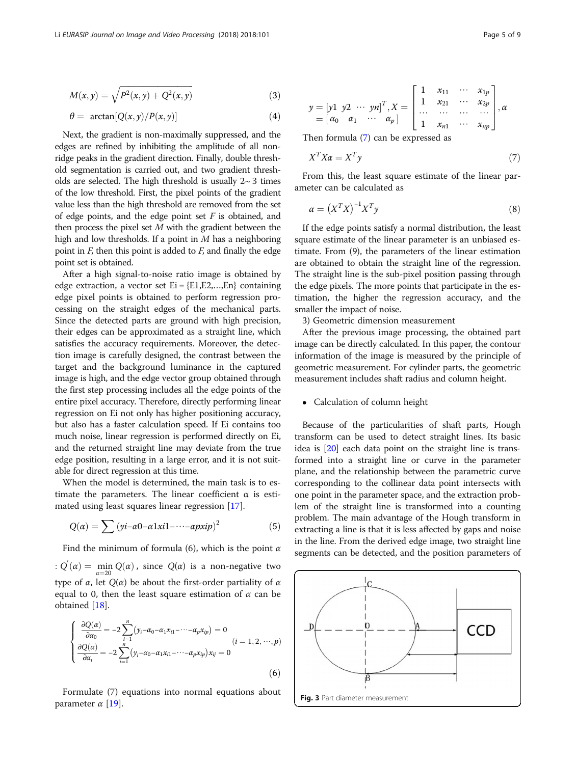<span id="page-4-0"></span>
$$
M(x, y) = \sqrt{P^{2}(x, y) + Q^{2}(x, y)}
$$
 (3)

$$
\theta = \arctan[Q(x, y)/P(x, y)] \tag{4}
$$

Next, the gradient is non-maximally suppressed, and the edges are refined by inhibiting the amplitude of all nonridge peaks in the gradient direction. Finally, double threshold segmentation is carried out, and two gradient thresholds are selected. The high threshold is usually  $2~ 3$  times of the low threshold. First, the pixel points of the gradient value less than the high threshold are removed from the set of edge points, and the edge point set  $F$  is obtained, and then process the pixel set  $M$  with the gradient between the high and low thresholds. If a point in  $M$  has a neighboring point in  $F$ , then this point is added to  $F$ , and finally the edge point set is obtained.

After a high signal-to-noise ratio image is obtained by edge extraction, a vector set  $Ei = \{E1, E2, \dots, En\}$  containing edge pixel points is obtained to perform regression processing on the straight edges of the mechanical parts. Since the detected parts are ground with high precision, their edges can be approximated as a straight line, which satisfies the accuracy requirements. Moreover, the detection image is carefully designed, the contrast between the target and the background luminance in the captured image is high, and the edge vector group obtained through the first step processing includes all the edge points of the entire pixel accuracy. Therefore, directly performing linear regression on Ei not only has higher positioning accuracy, but also has a faster calculation speed. If Ei contains too much noise, linear regression is performed directly on Ei, and the returned straight line may deviate from the true edge position, resulting in a large error, and it is not suitable for direct regression at this time.

When the model is determined, the main task is to estimate the parameters. The linear coefficient α is estimated using least squares linear regression [\[17](#page-8-0)].

$$
Q(\alpha) = \sum (yi-\alpha 0 - \alpha 1xi1 - \cdots - \alpha pxi p)^2
$$
 (5)

Find the minimum of formula (6), which is the point  $\alpha$ :  $Q'(\alpha) = \min_{\alpha=20} Q(\alpha)$ , since  $Q(\alpha)$  is a non-negative two type of  $\alpha$ , let  $Q(\alpha)$  be about the first-order partiality of  $\alpha$ equal to 0, then the least square estimation of  $\alpha$  can be obtained [\[18](#page-8-0)].

$$
\begin{cases}\n\frac{\partial Q(\alpha)}{\partial \alpha_0} = -2 \sum_{i=1}^n (y_i - \alpha_0 - \alpha_1 x_{i1} - \dots - \alpha_p x_{ip}) = 0 \\
\frac{\partial Q(\alpha)}{\partial \alpha_i} = -2 \sum_{i=1}^n (y_i - \alpha_0 - \alpha_1 x_{i1} - \dots - \alpha_p x_{ip}) x_{ij} = 0\n\end{cases} (i = 1, 2, \dots, p)
$$
\n(6)

Formulate (7) equations into normal equations about parameter  $\alpha$  [[19](#page-8-0)].

$$
y = \begin{bmatrix} y1 & y2 & \cdots & yn \end{bmatrix}^T, X = \begin{bmatrix} 1 & x_{11} & \cdots & x_{1p} \\ 1 & x_{21} & \cdots & x_{2p} \\ \cdots & \cdots & \cdots & \cdots \\ 1 & x_{n1} & \cdots & x_{np} \end{bmatrix}, \alpha
$$

Then formula (7) can be expressed as

$$
X^T X \alpha = X^T y \tag{7}
$$

From this, the least square estimate of the linear parameter can be calculated as

$$
\alpha = \left(X^T X\right)^{-1} X^T y \tag{8}
$$

If the edge points satisfy a normal distribution, the least square estimate of the linear parameter is an unbiased estimate. From (9), the parameters of the linear estimation are obtained to obtain the straight line of the regression. The straight line is the sub-pixel position passing through the edge pixels. The more points that participate in the estimation, the higher the regression accuracy, and the smaller the impact of noise.

3) Geometric dimension measurement

After the previous image processing, the obtained part image can be directly calculated. In this paper, the contour information of the image is measured by the principle of geometric measurement. For cylinder parts, the geometric measurement includes shaft radius and column height.

# • Calculation of column height

Because of the particularities of shaft parts, Hough transform can be used to detect straight lines. Its basic idea is [[20](#page-8-0)] each data point on the straight line is transformed into a straight line or curve in the parameter plane, and the relationship between the parametric curve corresponding to the collinear data point intersects with one point in the parameter space, and the extraction problem of the straight line is transformed into a counting problem. The main advantage of the Hough transform in extracting a line is that it is less affected by gaps and noise in the line. From the derived edge image, two straight line segments can be detected, and the position parameters of

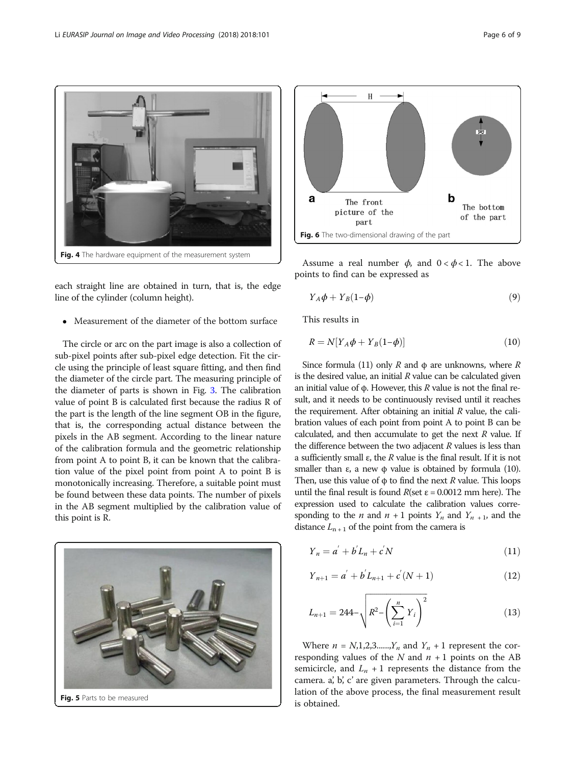<span id="page-5-0"></span>

each straight line are obtained in turn, that is, the edge line of the cylinder (column height).

Measurement of the diameter of the bottom surface

The circle or arc on the part image is also a collection of sub-pixel points after sub-pixel edge detection. Fit the circle using the principle of least square fitting, and then find the diameter of the circle part. The measuring principle of the diameter of parts is shown in Fig. [3](#page-4-0). The calibration value of point B is calculated first because the radius R of the part is the length of the line segment OB in the figure, that is, the corresponding actual distance between the pixels in the AB segment. According to the linear nature of the calibration formula and the geometric relationship from point A to point B, it can be known that the calibration value of the pixel point from point A to point B is monotonically increasing. Therefore, a suitable point must be found between these data points. The number of pixels in the AB segment multiplied by the calibration value of this point is R.





Assume a real number  $\phi$ , and  $0 < \phi < 1$ . The above points to find can be expressed as

$$
Y_A \phi + Y_B (1 - \phi) \tag{9}
$$

This results in

$$
R = N[Y_A \phi + Y_B(1-\phi)] \tag{10}
$$

Since formula (11) only R and  $\phi$  are unknowns, where R is the desired value, an initial  *value can be calculated given* an initial value of φ. However, this  $R$  value is not the final result, and it needs to be continuously revised until it reaches the requirement. After obtaining an initial  *value, the cali*bration values of each point from point A to point B can be calculated, and then accumulate to get the next  *value. If* the difference between the two adjacent  *values is less than* a sufficiently small ε, the R value is the final result. If it is not smaller than  $\varepsilon$ , a new  $\phi$  value is obtained by formula (10). Then, use this value of  $\phi$  to find the next R value. This loops until the final result is found  $R$ (set  $\varepsilon$  = 0.0012 mm here). The expression used to calculate the calibration values corresponding to the *n* and  $n + 1$  points  $Y_n$  and  $Y_{n+1}$ , and the distance  $L_{n+1}$  of the point from the camera is

$$
Y_n = a' + b'L_n + c'N \tag{11}
$$

$$
Y_{n+1} = a^{'} + b^{'} L_{n+1} + c^{'} (N+1)
$$
\n(12)

$$
L_{n+1} = 244 - \sqrt{R^2 - \left(\sum_{i=1}^n Y_i\right)^2} \tag{13}
$$

Where  $n = N, 1, 2, 3, \dots, Y_n$  and  $Y_n + 1$  represent the corresponding values of the  $N$  and  $n + 1$  points on the AB semicircle, and  $L_n + 1$  represents the distance from the camera. a', b', c' are given parameters. Through the calculation of the above process, the final measurement result is obtained.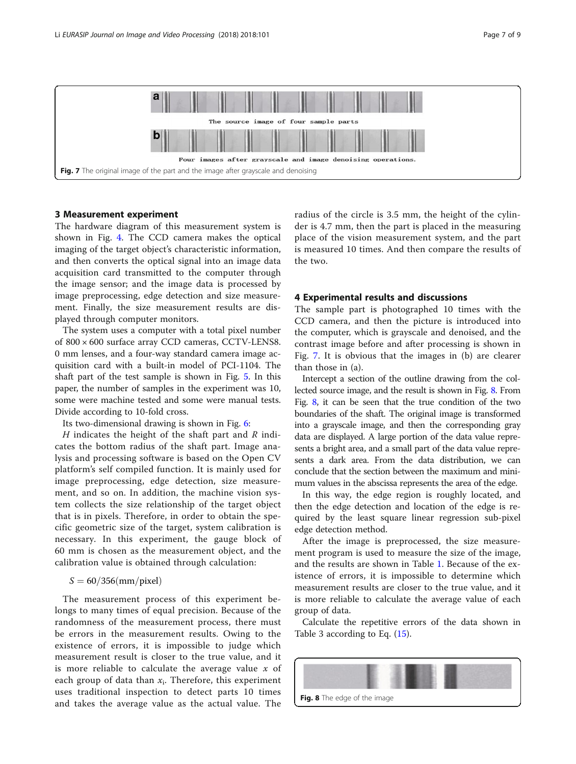

# 3 Measurement experiment

The hardware diagram of this measurement system is shown in Fig. [4.](#page-5-0) The CCD camera makes the optical imaging of the target object's characteristic information, and then converts the optical signal into an image data acquisition card transmitted to the computer through the image sensor; and the image data is processed by image preprocessing, edge detection and size measurement. Finally, the size measurement results are displayed through computer monitors.

The system uses a computer with a total pixel number of 800 × 600 surface array CCD cameras, CCTV-LENS8. 0 mm lenses, and a four-way standard camera image acquisition card with a built-in model of PCI-1104. The shaft part of the test sample is shown in Fig. [5.](#page-5-0) In this paper, the number of samples in the experiment was 10, some were machine tested and some were manual tests. Divide according to 10-fold cross.

Its two-dimensional drawing is shown in Fig. [6:](#page-5-0)

H indicates the height of the shaft part and  $R$  indicates the bottom radius of the shaft part. Image analysis and processing software is based on the Open CV platform's self compiled function. It is mainly used for image preprocessing, edge detection, size measurement, and so on. In addition, the machine vision system collects the size relationship of the target object that is in pixels. Therefore, in order to obtain the specific geometric size of the target, system calibration is necessary. In this experiment, the gauge block of 60 mm is chosen as the measurement object, and the calibration value is obtained through calculation:

# $S = 60/356$  (mm/pixel)

The measurement process of this experiment belongs to many times of equal precision. Because of the randomness of the measurement process, there must be errors in the measurement results. Owing to the existence of errors, it is impossible to judge which measurement result is closer to the true value, and it is more reliable to calculate the average value  $x$  of each group of data than  $x_i$ . Therefore, this experiment uses traditional inspection to detect parts 10 times and takes the average value as the actual value. The

radius of the circle is 3.5 mm, the height of the cylinder is 4.7 mm, then the part is placed in the measuring place of the vision measurement system, and the part is measured 10 times. And then compare the results of the two.

# 4 Experimental results and discussions

The sample part is photographed 10 times with the CCD camera, and then the picture is introduced into the computer, which is grayscale and denoised, and the contrast image before and after processing is shown in Fig. 7. It is obvious that the images in (b) are clearer than those in (a).

Intercept a section of the outline drawing from the collected source image, and the result is shown in Fig. 8. From Fig. 8, it can be seen that the true condition of the two boundaries of the shaft. The original image is transformed into a grayscale image, and then the corresponding gray data are displayed. A large portion of the data value represents a bright area, and a small part of the data value represents a dark area. From the data distribution, we can conclude that the section between the maximum and minimum values in the abscissa represents the area of the edge.

In this way, the edge region is roughly located, and then the edge detection and location of the edge is required by the least square linear regression sub-pixel edge detection method.

After the image is preprocessed, the size measurement program is used to measure the size of the image, and the results are shown in Table [1.](#page-7-0) Because of the existence of errors, it is impossible to determine which measurement results are closer to the true value, and it is more reliable to calculate the average value of each group of data.

Calculate the repetitive errors of the data shown in Table 3 according to Eq. ([15](#page-7-0)).

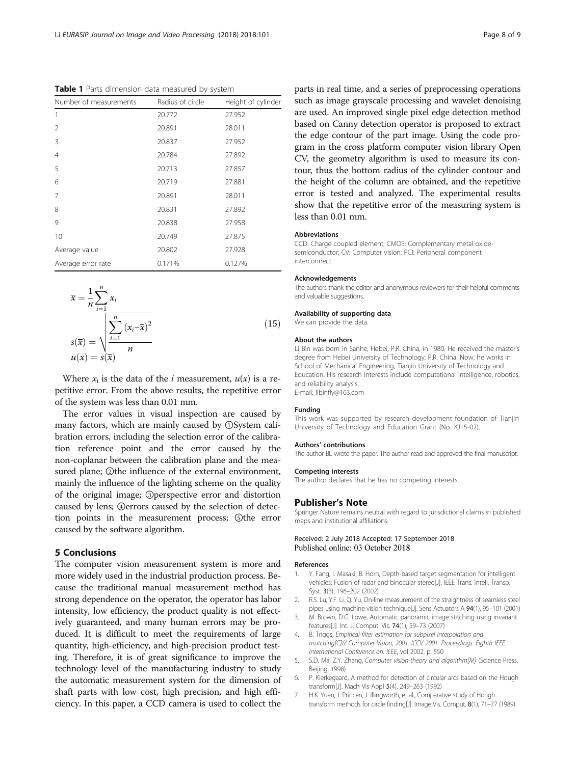<span id="page-7-0"></span>Table 1 Parts dimension data measured by system

| Number of measurements | Radius of circle | Height of cylinder |
|------------------------|------------------|--------------------|
| 1                      | 20.772           | 27.952             |
| $\mathcal{P}$          | 20.891           | 28.011             |
| 3                      | 20.837           | 27.952             |
| 4                      | 20.784           | 27.892             |
| 5                      | 20.713           | 27.857             |
| 6                      | 20.719           | 27.881             |
| 7                      | 20.891           | 28.011             |
| 8                      | 20.831           | 27.892             |
| 9                      | 20.838           | 27.958             |
| 10                     | 20.749           | 27.875             |
| Average value          | 20.802           | 27.928             |
| Average error rate     | 0.171%           | 0.127%             |

$$
\overline{x} = \frac{1}{n} \sum_{i=1}^{n} x_i
$$
  

$$
s(\overline{x}) = \sqrt{\sum_{i=1}^{n} (x_i - \overline{x})^2}
$$
  

$$
u(x) = s(\overline{x})
$$
  
(15)

Where  $x_i$  is the data of the *i* measurement,  $u(x)$  is a repetitive error. From the above results, the repetitive error of the system was less than 0.01 mm.

The error values in visual inspection are caused by many factors, which are mainly caused by ①System calibration errors, including the selection error of the calibration reference point and the error caused by the non-coplanar between the calibration plane and the measured plane; ②the influence of the external environment, mainly the influence of the lighting scheme on the quality of the original image; ③perspective error and distortion caused by lens; ④errors caused by the selection of detection points in the measurement process; ⑤the error caused by the software algorithm.

# 5 Conclusions

The computer vision measurement system is more and more widely used in the industrial production process. Because the traditional manual measurement method has strong dependence on the operator, the operator has labor intensity, low efficiency, the product quality is not effectively guaranteed, and many human errors may be produced. It is difficult to meet the requirements of large quantity, high-efficiency, and high-precision product testing. Therefore, it is of great significance to improve the technology level of the manufacturing industry to study the automatic measurement system for the dimension of shaft parts with low cost, high precision, and high efficiency. In this paper, a CCD camera is used to collect the

parts in real time, and a series of preprocessing operations such as image grayscale processing and wavelet denoising are used. An improved single pixel edge detection method based on Canny detection operator is proposed to extract the edge contour of the part image. Using the code program in the cross platform computer vision library Open CV, the geometry algorithm is used to measure its contour, thus the bottom radius of the cylinder contour and the height of the column are obtained, and the repetitive error is tested and analyzed. The experimental results show that the repetitive error of the measuring system is less than 0.01 mm.

#### Abbreviations

CCD: Charge coupled element; CMOS: Complementary metal-oxidesemiconductor; CV: Computer vision; PCI: Peripheral component interconnect

#### Acknowledgements

The authors thank the editor and anonymous reviewers for their helpful comments and valuable suggestions.

# Availability of supporting data

We can provide the data.

#### About the authors

Li Bin was born in Sanhe, Hebei, P.R. China, in 1980. He received the master's degree from Hebei University of Technology, P.R. China. Now, he works in School of Mechanical Engineering, Tianjin University of Technology and Education. His research interests include computational intelligence, robotics, and reliability analysis. E-mail: libinfly@163.com

#### Funding

This work was supported by research development foundation of Tianjin University of Technology and Education Grant (No. KJ15-02).

# Authors' contributions

The author BL wrote the paper. The author read and approved the final manuscript.

#### Competing interests

The author declares that he has no competing interests.

## Publisher's Note

Springer Nature remains neutral with regard to jurisdictional claims in published maps and institutional affiliations.

## Received: 2 July 2018 Accepted: 17 September 2018 Published online: 03 October 2018

#### References

- 1. Y. Fang, I. Masaki, B. Horn, Depth-based target segmentation for intelligent vehicles: Fusion of radar and binocular stereo[J]. IEEE Trans. Intell. Transp. Syst. 3(3), 196–202 (2002)
- 2. R.S. Lu, Y.F. Li, Q. Yu, On-line measurement of the straightness of seamless steel pipes using machine vision technique[J]. Sens Actuators A 94(1), 95–101 (2001)
- 3. M. Brown, D.G. Lowe, Automatic panoramic image stitching using invariant features[J]. Int. J. Comput. Vis. 74(1), 59–73 (2007)
- 4. B. Triggs, Empirical filter estimation for subpixel interpolation and matching[C]// Computer Vision, 2001. ICCV 2001. Proceedings. Eighth IEEE International Conference on. IEEE, vol 2002, p. 550
- 5. S.D. Ma, Z.Y. Zhang, Computer vision-theory and algorithm[M] (Science Press, Beijing, 1998)
- 6. P. Kierkegaard, A method for detection of circular arcs based on the Hough transform[J]. Mach Vis Appl 5(4), 249–263 (1992)
- 7. H.K. Yuen, J. Princen, J. Illingworth, et al., Comparative study of Hough transform methods for circle finding[J]. Image Vis. Comput. 8(1), 71–77 (1989)